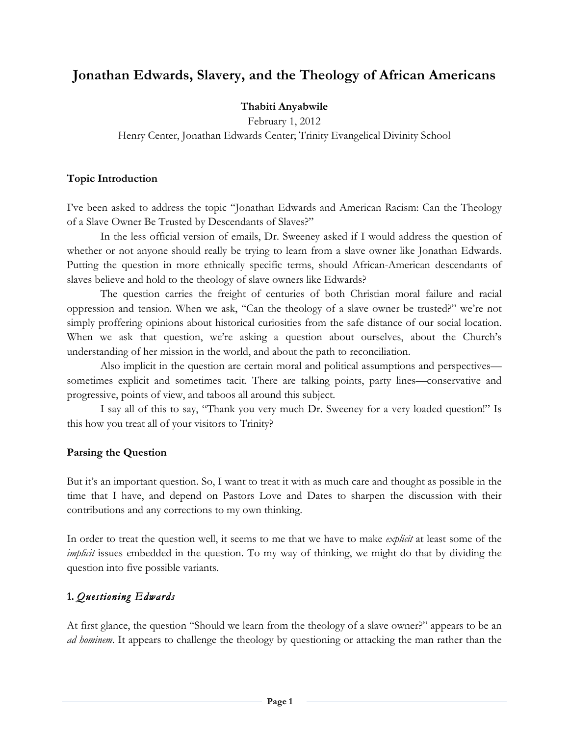# **Jonathan Edwards, Slavery, and the Theology of African Americans**

### **Thabiti Anyabwile**

February 1, 2012 Henry Center, Jonathan Edwards Center; Trinity Evangelical Divinity School

### **Topic Introduction**

I've been asked to address the topic "Jonathan Edwards and American Racism: Can the Theology of a Slave Owner Be Trusted by Descendants of Slaves?"

In the less official version of emails, Dr. Sweeney asked if I would address the question of whether or not anyone should really be trying to learn from a slave owner like Jonathan Edwards. Putting the question in more ethnically specific terms, should African-American descendants of slaves believe and hold to the theology of slave owners like Edwards?

The question carries the freight of centuries of both Christian moral failure and racial oppression and tension. When we ask, "Can the theology of a slave owner be trusted?" we're not simply proffering opinions about historical curiosities from the safe distance of our social location. When we ask that question, we're asking a question about ourselves, about the Church's understanding of her mission in the world, and about the path to reconciliation.

Also implicit in the question are certain moral and political assumptions and perspectives sometimes explicit and sometimes tacit. There are talking points, party lines—conservative and progressive, points of view, and taboos all around this subject.

I say all of this to say, "Thank you very much Dr. Sweeney for a very loaded question!" Is this how you treat all of your visitors to Trinity?

### **Parsing the Question**

But it's an important question. So, I want to treat it with as much care and thought as possible in the time that I have, and depend on Pastors Love and Dates to sharpen the discussion with their contributions and any corrections to my own thinking.

In order to treat the question well, it seems to me that we have to make *explicit* at least some of the *implicit* issues embedded in the question. To my way of thinking, we might do that by dividing the question into five possible variants.

## **1.** *Questioning Edwards*

At first glance, the question "Should we learn from the theology of a slave owner?" appears to be an *ad hominem*. It appears to challenge the theology by questioning or attacking the man rather than the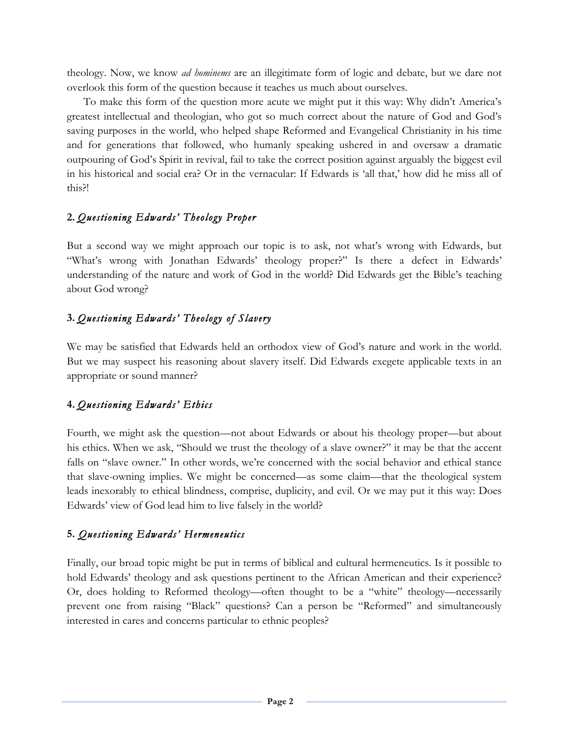theology. Now, we know *ad hominems* are an illegitimate form of logic and debate, but we dare not overlook this form of the question because it teaches us much about ourselves.

To make this form of the question more acute we might put it this way: Why didn't America's greatest intellectual and theologian, who got so much correct about the nature of God and God's saving purposes in the world, who helped shape Reformed and Evangelical Christianity in his time and for generations that followed, who humanly speaking ushered in and oversaw a dramatic outpouring of God's Spirit in revival, fail to take the correct position against arguably the biggest evil in his historical and social era? Or in the vernacular: If Edwards is 'all that,' how did he miss all of this?!

### **2.** *Questioning Edwards' Theology Proper*

But a second way we might approach our topic is to ask, not what's wrong with Edwards, but "What's wrong with Jonathan Edwards' theology proper?" Is there a defect in Edwards' understanding of the nature and work of God in the world? Did Edwards get the Bible's teaching about God wrong?

## **3.** *Questioning Edwards' Theology of Slavery*

We may be satisfied that Edwards held an orthodox view of God's nature and work in the world. But we may suspect his reasoning about slavery itself. Did Edwards exegete applicable texts in an appropriate or sound manner?

## **4.** *Questioning Edwards' Ethics*

Fourth, we might ask the question—not about Edwards or about his theology proper—but about his ethics. When we ask, "Should we trust the theology of a slave owner?" it may be that the accent falls on "slave owner." In other words, we're concerned with the social behavior and ethical stance that slave-owning implies. We might be concerned—as some claim—that the theological system leads inexorably to ethical blindness, comprise, duplicity, and evil. Or we may put it this way: Does Edwards' view of God lead him to live falsely in the world?

## **5.** *Questioning Edwards' Hermeneutics*

Finally, our broad topic might be put in terms of biblical and cultural hermeneutics. Is it possible to hold Edwards' theology and ask questions pertinent to the African American and their experience? Or, does holding to Reformed theology—often thought to be a "white" theology—necessarily prevent one from raising "Black" questions? Can a person be "Reformed" and simultaneously interested in cares and concerns particular to ethnic peoples?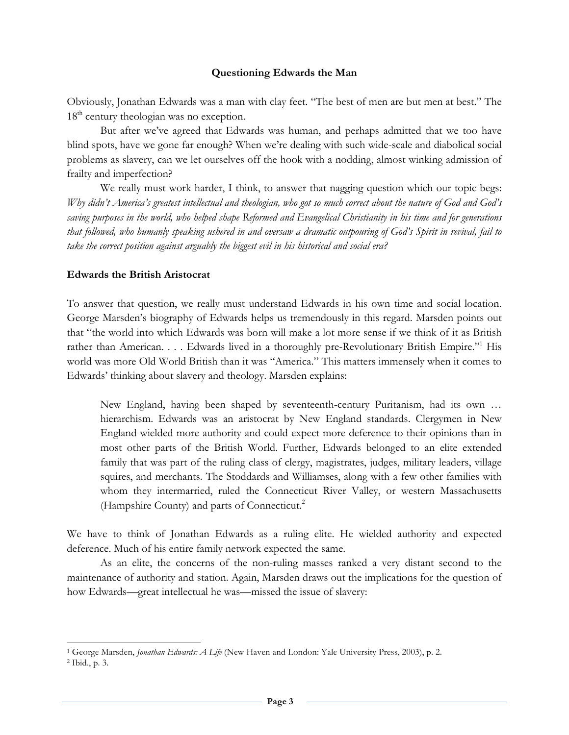#### **Questioning Edwards the Man**

Obviously, Jonathan Edwards was a man with clay feet. "The best of men are but men at best." The  $18<sup>th</sup>$  century theologian was no exception.

But after we've agreed that Edwards was human, and perhaps admitted that we too have blind spots, have we gone far enough? When we're dealing with such wide-scale and diabolical social problems as slavery, can we let ourselves off the hook with a nodding, almost winking admission of frailty and imperfection?

We really must work harder, I think, to answer that nagging question which our topic begs: *Why didn't America's greatest intellectual and theologian, who got so much correct about the nature of God and God's saving purposes in the world, who helped shape Reformed and Evangelical Christianity in his time and for generations that followed, who humanly speaking ushered in and oversaw a dramatic outpouring of God's Spirit in revival, fail to take the correct position against arguably the biggest evil in his historical and social era?*

#### **Edwards the British Aristocrat**

To answer that question, we really must understand Edwards in his own time and social location. George Marsden's biography of Edwards helps us tremendously in this regard. Marsden points out that "the world into which Edwards was born will make a lot more sense if we think of it as British rather than American. . . . Edwards lived in a thoroughly pre-Revolutionary British Empire."<sup>1</sup> His world was more Old World British than it was "America." This matters immensely when it comes to Edwards' thinking about slavery and theology. Marsden explains:

New England, having been shaped by seventeenth-century Puritanism, had its own … hierarchism. Edwards was an aristocrat by New England standards. Clergymen in New England wielded more authority and could expect more deference to their opinions than in most other parts of the British World. Further, Edwards belonged to an elite extended family that was part of the ruling class of clergy, magistrates, judges, military leaders, village squires, and merchants. The Stoddards and Williamses, along with a few other families with whom they intermarried, ruled the Connecticut River Valley, or western Massachusetts (Hampshire County) and parts of Connecticut.<sup>2</sup>

We have to think of Jonathan Edwards as a ruling elite. He wielded authority and expected deference. Much of his entire family network expected the same.

As an elite, the concerns of the non-ruling masses ranked a very distant second to the maintenance of authority and station. Again, Marsden draws out the implications for the question of how Edwards—great intellectual he was—missed the issue of slavery:

<sup>1</sup> George Marsden, *Jonathan Edwards: A Life* (New Haven and London: Yale University Press, 2003), p. 2.

<sup>2</sup> Ibid., p. 3.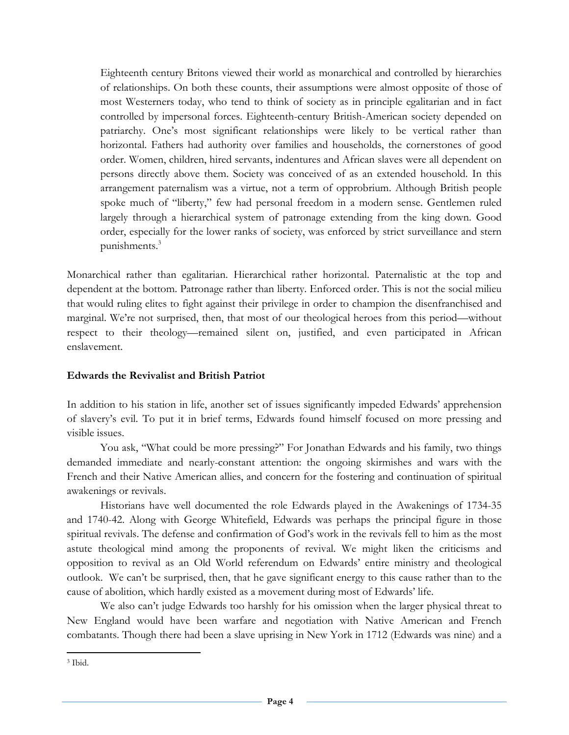Eighteenth century Britons viewed their world as monarchical and controlled by hierarchies of relationships. On both these counts, their assumptions were almost opposite of those of most Westerners today, who tend to think of society as in principle egalitarian and in fact controlled by impersonal forces. Eighteenth-century British-American society depended on patriarchy. One's most significant relationships were likely to be vertical rather than horizontal. Fathers had authority over families and households, the cornerstones of good order. Women, children, hired servants, indentures and African slaves were all dependent on persons directly above them. Society was conceived of as an extended household. In this arrangement paternalism was a virtue, not a term of opprobrium. Although British people spoke much of "liberty," few had personal freedom in a modern sense. Gentlemen ruled largely through a hierarchical system of patronage extending from the king down. Good order, especially for the lower ranks of society, was enforced by strict surveillance and stern punishments.<sup>3</sup>

Monarchical rather than egalitarian. Hierarchical rather horizontal. Paternalistic at the top and dependent at the bottom. Patronage rather than liberty. Enforced order. This is not the social milieu that would ruling elites to fight against their privilege in order to champion the disenfranchised and marginal. We're not surprised, then, that most of our theological heroes from this period—without respect to their theology—remained silent on, justified, and even participated in African enslavement.

### **Edwards the Revivalist and British Patriot**

In addition to his station in life, another set of issues significantly impeded Edwards' apprehension of slavery's evil. To put it in brief terms, Edwards found himself focused on more pressing and visible issues.

You ask, "What could be more pressing?" For Jonathan Edwards and his family, two things demanded immediate and nearly-constant attention: the ongoing skirmishes and wars with the French and their Native American allies, and concern for the fostering and continuation of spiritual awakenings or revivals.

Historians have well documented the role Edwards played in the Awakenings of 1734-35 and 1740-42. Along with George Whitefield, Edwards was perhaps the principal figure in those spiritual revivals. The defense and confirmation of God's work in the revivals fell to him as the most astute theological mind among the proponents of revival. We might liken the criticisms and opposition to revival as an Old World referendum on Edwards' entire ministry and theological outlook. We can't be surprised, then, that he gave significant energy to this cause rather than to the cause of abolition, which hardly existed as a movement during most of Edwards' life.

We also can't judge Edwards too harshly for his omission when the larger physical threat to New England would have been warfare and negotiation with Native American and French combatants. Though there had been a slave uprising in New York in 1712 (Edwards was nine) and a

<sup>!!!!!!!!!!!!!!!!!!!!!!!!!!!!!!!!!!!!!!!!!!!!!!!!!!!!!!!!!!!!</sup> <sup>3</sup> Ibid.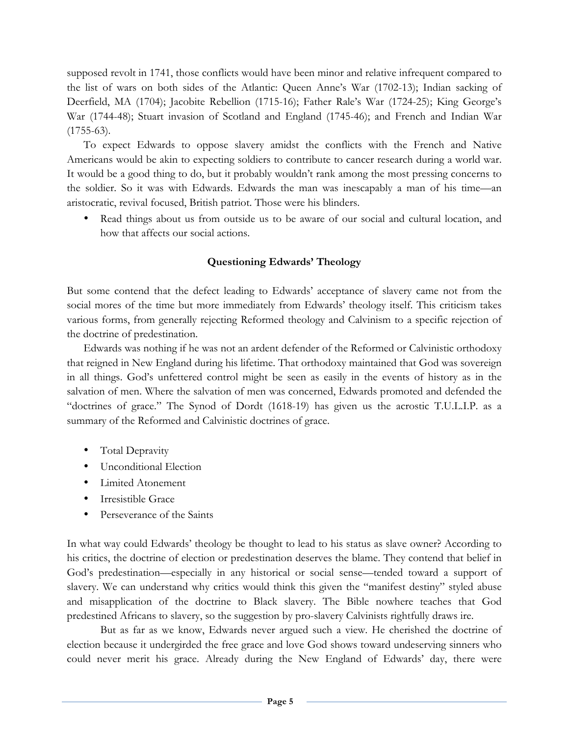supposed revolt in 1741, those conflicts would have been minor and relative infrequent compared to the list of wars on both sides of the Atlantic: Queen Anne's War (1702-13); Indian sacking of Deerfield, MA (1704); Jacobite Rebellion (1715-16); Father Rale's War (1724-25); King George's War (1744-48); Stuart invasion of Scotland and England (1745-46); and French and Indian War  $(1755-63)$ .

To expect Edwards to oppose slavery amidst the conflicts with the French and Native Americans would be akin to expecting soldiers to contribute to cancer research during a world war. It would be a good thing to do, but it probably wouldn't rank among the most pressing concerns to the soldier. So it was with Edwards. Edwards the man was inescapably a man of his time—an aristocratic, revival focused, British patriot. Those were his blinders.

• Read things about us from outside us to be aware of our social and cultural location, and how that affects our social actions.

### **Questioning Edwards' Theology**

But some contend that the defect leading to Edwards' acceptance of slavery came not from the social mores of the time but more immediately from Edwards' theology itself. This criticism takes various forms, from generally rejecting Reformed theology and Calvinism to a specific rejection of the doctrine of predestination.

Edwards was nothing if he was not an ardent defender of the Reformed or Calvinistic orthodoxy that reigned in New England during his lifetime. That orthodoxy maintained that God was sovereign in all things. God's unfettered control might be seen as easily in the events of history as in the salvation of men. Where the salvation of men was concerned, Edwards promoted and defended the "doctrines of grace." The Synod of Dordt (1618-19) has given us the acrostic T.U.L.I.P. as a summary of the Reformed and Calvinistic doctrines of grace.

- Total Depravity
- Unconditional Election
- Limited Atonement
- Irresistible Grace
- Perseverance of the Saints

In what way could Edwards' theology be thought to lead to his status as slave owner? According to his critics, the doctrine of election or predestination deserves the blame. They contend that belief in God's predestination—especially in any historical or social sense—tended toward a support of slavery. We can understand why critics would think this given the "manifest destiny" styled abuse and misapplication of the doctrine to Black slavery. The Bible nowhere teaches that God predestined Africans to slavery, so the suggestion by pro-slavery Calvinists rightfully draws ire.

But as far as we know, Edwards never argued such a view. He cherished the doctrine of election because it undergirded the free grace and love God shows toward undeserving sinners who could never merit his grace. Already during the New England of Edwards' day, there were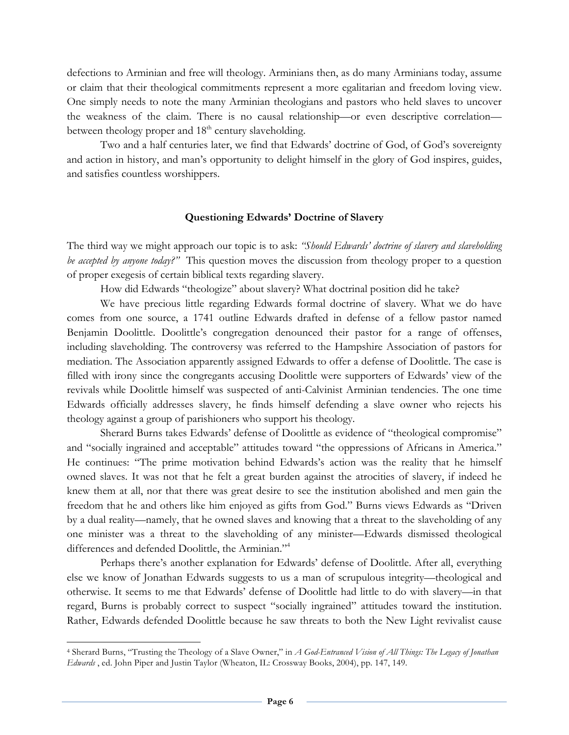defections to Arminian and free will theology. Arminians then, as do many Arminians today, assume or claim that their theological commitments represent a more egalitarian and freedom loving view. One simply needs to note the many Arminian theologians and pastors who held slaves to uncover the weakness of the claim. There is no causal relationship—or even descriptive correlation between theology proper and 18<sup>th</sup> century slaveholding.

Two and a half centuries later, we find that Edwards' doctrine of God, of God's sovereignty and action in history, and man's opportunity to delight himself in the glory of God inspires, guides, and satisfies countless worshippers.

#### **Questioning Edwards' Doctrine of Slavery**

The third way we might approach our topic is to ask: *"Should Edwards' doctrine of slavery and slaveholding be accepted by anyone today?"* This question moves the discussion from theology proper to a question of proper exegesis of certain biblical texts regarding slavery.

How did Edwards "theologize" about slavery? What doctrinal position did he take?

We have precious little regarding Edwards formal doctrine of slavery. What we do have comes from one source, a 1741 outline Edwards drafted in defense of a fellow pastor named Benjamin Doolittle. Doolittle's congregation denounced their pastor for a range of offenses, including slaveholding. The controversy was referred to the Hampshire Association of pastors for mediation. The Association apparently assigned Edwards to offer a defense of Doolittle. The case is filled with irony since the congregants accusing Doolittle were supporters of Edwards' view of the revivals while Doolittle himself was suspected of anti-Calvinist Arminian tendencies. The one time Edwards officially addresses slavery, he finds himself defending a slave owner who rejects his theology against a group of parishioners who support his theology.

Sherard Burns takes Edwards' defense of Doolittle as evidence of "theological compromise" and "socially ingrained and acceptable" attitudes toward "the oppressions of Africans in America." He continues: "The prime motivation behind Edwards's action was the reality that he himself owned slaves. It was not that he felt a great burden against the atrocities of slavery, if indeed he knew them at all, nor that there was great desire to see the institution abolished and men gain the freedom that he and others like him enjoyed as gifts from God." Burns views Edwards as "Driven by a dual reality—namely, that he owned slaves and knowing that a threat to the slaveholding of any one minister was a threat to the slaveholding of any minister—Edwards dismissed theological differences and defended Doolittle, the Arminian."<sup>4</sup>

Perhaps there's another explanation for Edwards' defense of Doolittle. After all, everything else we know of Jonathan Edwards suggests to us a man of scrupulous integrity—theological and otherwise. It seems to me that Edwards' defense of Doolittle had little to do with slavery—in that regard, Burns is probably correct to suspect "socially ingrained" attitudes toward the institution. Rather, Edwards defended Doolittle because he saw threats to both the New Light revivalist cause

<sup>4</sup> Sherard Burns, "Trusting the Theology of a Slave Owner," in *A God-Entranced Vision of All Things: The Legacy of Jonathan Edwards* , ed. John Piper and Justin Taylor (Wheaton, IL: Crossway Books, 2004), pp. 147, 149.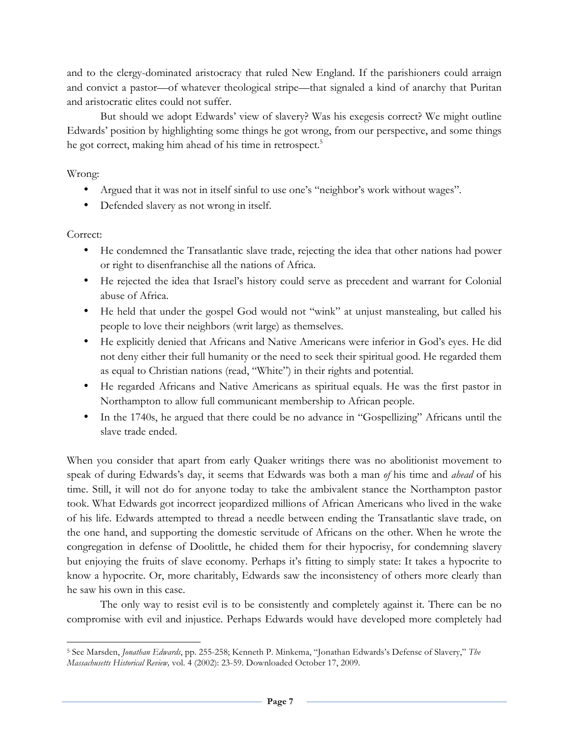and to the clergy-dominated aristocracy that ruled New England. If the parishioners could arraign and convict a pastor—of whatever theological stripe—that signaled a kind of anarchy that Puritan and aristocratic elites could not suffer.

But should we adopt Edwards' view of slavery? Was his exegesis correct? We might outline Edwards' position by highlighting some things he got wrong, from our perspective, and some things he got correct, making him ahead of his time in retrospect.<sup>5</sup>

Wrong:

- Argued that it was not in itself sinful to use one's "neighbor's work without wages".
- Defended slavery as not wrong in itself.

Correct:

!!!!!!!!!!!!!!!!!!!!!!!!!!!!!!!!!!!!!!!!!!!!!!!!!!!!!!!!!!!!

- He condemned the Transatlantic slave trade, rejecting the idea that other nations had power or right to disenfranchise all the nations of Africa.
- He rejected the idea that Israel's history could serve as precedent and warrant for Colonial abuse of Africa.
- He held that under the gospel God would not "wink" at unjust manstealing, but called his people to love their neighbors (writ large) as themselves.
- He explicitly denied that Africans and Native Americans were inferior in God's eyes. He did not deny either their full humanity or the need to seek their spiritual good. He regarded them as equal to Christian nations (read, "White") in their rights and potential.
- He regarded Africans and Native Americans as spiritual equals. He was the first pastor in Northampton to allow full communicant membership to African people.
- In the 1740s, he argued that there could be no advance in "Gospellizing" Africans until the slave trade ended.

When you consider that apart from early Quaker writings there was no abolitionist movement to speak of during Edwards's day, it seems that Edwards was both a man *of* his time and *ahead* of his time. Still, it will not do for anyone today to take the ambivalent stance the Northampton pastor took. What Edwards got incorrect jeopardized millions of African Americans who lived in the wake of his life. Edwards attempted to thread a needle between ending the Transatlantic slave trade, on the one hand, and supporting the domestic servitude of Africans on the other. When he wrote the congregation in defense of Doolittle, he chided them for their hypocrisy, for condemning slavery but enjoying the fruits of slave economy. Perhaps it's fitting to simply state: It takes a hypocrite to know a hypocrite. Or, more charitably, Edwards saw the inconsistency of others more clearly than he saw his own in this case.

The only way to resist evil is to be consistently and completely against it. There can be no compromise with evil and injustice. Perhaps Edwards would have developed more completely had

<sup>5</sup> See Marsden, *Jonathan Edwards*, pp. 255-258; Kenneth P. Minkema, "Jonathan Edwards's Defense of Slavery," *The Massachusetts Historical Review,* vol. 4 (2002): 23-59. Downloaded October 17, 2009.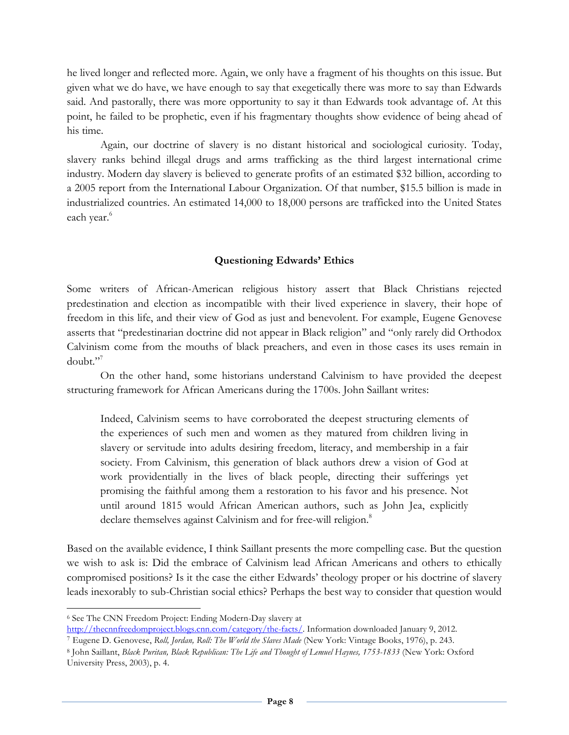he lived longer and reflected more. Again, we only have a fragment of his thoughts on this issue. But given what we do have, we have enough to say that exegetically there was more to say than Edwards said. And pastorally, there was more opportunity to say it than Edwards took advantage of. At this point, he failed to be prophetic, even if his fragmentary thoughts show evidence of being ahead of his time.

Again, our doctrine of slavery is no distant historical and sociological curiosity. Today, slavery ranks behind illegal drugs and arms trafficking as the third largest international crime industry. Modern day slavery is believed to generate profits of an estimated \$32 billion, according to a 2005 report from the International Labour Organization. Of that number, \$15.5 billion is made in industrialized countries. An estimated 14,000 to 18,000 persons are trafficked into the United States each year.<sup>6</sup>

#### **Questioning Edwards' Ethics**

Some writers of African-American religious history assert that Black Christians rejected predestination and election as incompatible with their lived experience in slavery, their hope of freedom in this life, and their view of God as just and benevolent. For example, Eugene Genovese asserts that "predestinarian doctrine did not appear in Black religion" and "only rarely did Orthodox Calvinism come from the mouths of black preachers, and even in those cases its uses remain in doubt."7

On the other hand, some historians understand Calvinism to have provided the deepest structuring framework for African Americans during the 1700s. John Saillant writes:

Indeed, Calvinism seems to have corroborated the deepest structuring elements of the experiences of such men and women as they matured from children living in slavery or servitude into adults desiring freedom, literacy, and membership in a fair society. From Calvinism, this generation of black authors drew a vision of God at work providentially in the lives of black people, directing their sufferings yet promising the faithful among them a restoration to his favor and his presence. Not until around 1815 would African American authors, such as John Jea, explicitly declare themselves against Calvinism and for free-will religion.<sup>8</sup>

Based on the available evidence, I think Saillant presents the more compelling case. But the question we wish to ask is: Did the embrace of Calvinism lead African Americans and others to ethically compromised positions? Is it the case the either Edwards' theology proper or his doctrine of slavery leads inexorably to sub-Christian social ethics? Perhaps the best way to consider that question would

<sup>!!!!!!!!!!!!!!!!!!!!!!!!!!!!!!!!!!!!!!!!!!!!!!!!!!!!!!!!!!!!</sup> <sup>6</sup> See The CNN Freedom Project: Ending Modern-Day slavery at

http://thecnnfreedomproject.blogs.cnn.com/category/the-facts/. Information downloaded January 9, 2012. <sup>7</sup> Eugene D. Genovese, *Roll, Jordan, Roll: The World the Slaves Made* (New York: Vintage Books, 1976), p. 243.

<sup>8</sup> John Saillant, *Black Puritan, Black Republican: The Life and Thought of Lemuel Haynes, 1753-1833* (New York: Oxford University Press, 2003), p. 4.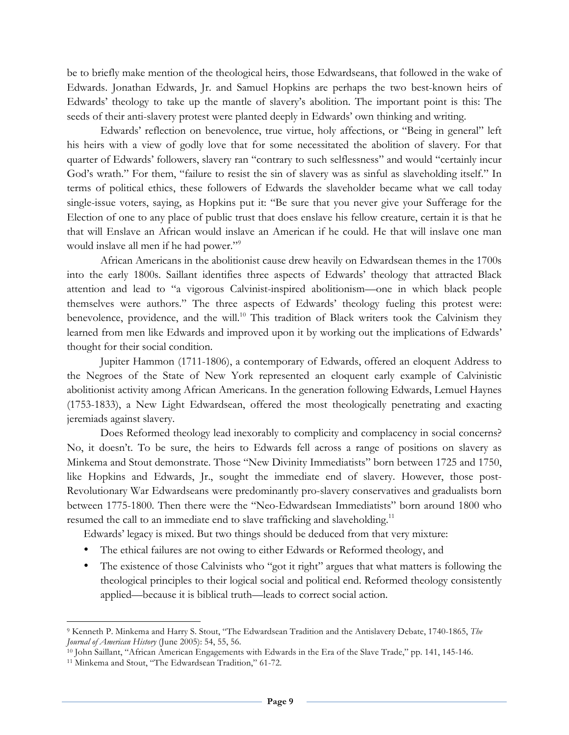be to briefly make mention of the theological heirs, those Edwardseans, that followed in the wake of Edwards. Jonathan Edwards, Jr. and Samuel Hopkins are perhaps the two best-known heirs of Edwards' theology to take up the mantle of slavery's abolition. The important point is this: The seeds of their anti-slavery protest were planted deeply in Edwards' own thinking and writing.

Edwards' reflection on benevolence, true virtue, holy affections, or "Being in general" left his heirs with a view of godly love that for some necessitated the abolition of slavery. For that quarter of Edwards' followers, slavery ran "contrary to such selflessness" and would "certainly incur God's wrath." For them, "failure to resist the sin of slavery was as sinful as slaveholding itself." In terms of political ethics, these followers of Edwards the slaveholder became what we call today single-issue voters, saying, as Hopkins put it: "Be sure that you never give your Sufferage for the Election of one to any place of public trust that does enslave his fellow creature, certain it is that he that will Enslave an African would inslave an American if he could. He that will inslave one man would inslave all men if he had power."<sup>9</sup>

African Americans in the abolitionist cause drew heavily on Edwardsean themes in the 1700s into the early 1800s. Saillant identifies three aspects of Edwards' theology that attracted Black attention and lead to "a vigorous Calvinist-inspired abolitionism—one in which black people themselves were authors." The three aspects of Edwards' theology fueling this protest were: benevolence, providence, and the will.<sup>10</sup> This tradition of Black writers took the Calvinism they learned from men like Edwards and improved upon it by working out the implications of Edwards' thought for their social condition.

Jupiter Hammon (1711-1806), a contemporary of Edwards, offered an eloquent Address to the Negroes of the State of New York represented an eloquent early example of Calvinistic abolitionist activity among African Americans. In the generation following Edwards, Lemuel Haynes (1753-1833), a New Light Edwardsean, offered the most theologically penetrating and exacting jeremiads against slavery.

Does Reformed theology lead inexorably to complicity and complacency in social concerns? No, it doesn't. To be sure, the heirs to Edwards fell across a range of positions on slavery as Minkema and Stout demonstrate. Those "New Divinity Immediatists" born between 1725 and 1750, like Hopkins and Edwards, Jr., sought the immediate end of slavery. However, those post-Revolutionary War Edwardseans were predominantly pro-slavery conservatives and gradualists born between 1775-1800. Then there were the "Neo-Edwardsean Immediatists" born around 1800 who resumed the call to an immediate end to slave trafficking and slaveholding.<sup>11</sup>

Edwards' legacy is mixed. But two things should be deduced from that very mixture:

- The ethical failures are not owing to either Edwards or Reformed theology, and
- The existence of those Calvinists who "got it right" argues that what matters is following the theological principles to their logical social and political end. Reformed theology consistently applied—because it is biblical truth—leads to correct social action.

<sup>9</sup> Kenneth P. Minkema and Harry S. Stout, "The Edwardsean Tradition and the Antislavery Debate, 1740-1865, *The Journal of American History* (June 2005): 54, 55, 56.

<sup>10</sup> John Saillant, "African American Engagements with Edwards in the Era of the Slave Trade," pp. 141, 145-146.

<sup>11</sup> Minkema and Stout, "The Edwardsean Tradition," 61-72.